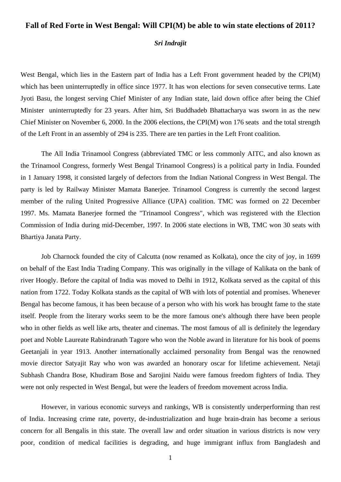## **Fall of Red Forte in West Bengal: Will CPI(M) be able to win state elections of 2011?**

## *Sri Indrajit*

West Bengal, which lies in the Eastern part of India has a Left Front government headed by the CPI(M) which has been uninterruptedly in office since 1977. It has won elections for seven consecutive terms. Late Jyoti Basu, the longest serving Chief Minister of any Indian state, laid down office after being the Chief Minister uninterruptedly for 23 years. After him, Sri Buddhadeb Bhattacharya was sworn in as the new Chief Minister on November 6, 2000. In the 2006 elections, the CPI(M) won 176 seats and the total strength of the Left Front in an assembly of 294 is 235. There are ten parties in the Left Front coalition.

The All India Trinamool Congress (abbreviated TMC or less commonly AITC, and also known as the Trinamool Congress, formerly West Bengal Trinamool Congress) is a [political party](http://en.wikipedia.org/wiki/Political_party) in [India.](http://en.wikipedia.org/wiki/India) Founded in 1 January 1998, it consisted largely of defectors from the [Indian National Congress](http://en.wikipedia.org/wiki/Indian_National_Congress) in West Bengal. The party is led by [Railway Minister](http://en.wikipedia.org/wiki/Minister_of_Railways_(India)) Mamata Banerjee. Trinamool Congress is currently the second largest member of the ruling United Progressive Alliance (UPA) coalition. TMC was formed on 22 December 1997. Ms. Mamata Banerjee formed the "Trinamool Congress", which was registered with the Election Commission of India during mid-December, 1997. In 2006 state elections in WB, TMC won 30 seats with Bhartiya Janata Party.

Job Charnock founded the city of Calcutta (now renamed as Kolkata), once the city of joy, in 1699 on behalf of the East India Trading Company. This was originally in the village of Kalikata on the bank of river Hoogly. Before the capital of India was moved to Delhi in 1912, Kolkata served as the capital of this nation from 1722. Today Kolkata stands as the capital of WB with lots of potential and promises. Whenever Bengal has become famous, it has been because of a person who with his work has brought fame to the state itself. People from the literary works seem to be the more famous one's although there have been people who in other fields as well like arts, theater and cinemas. The most famous of all is definitely the legendary poet and Noble Laureate Rabindranath Tagore who won the Noble award in literature for his book of poems Geetanjali in year 1913. Another internationally acclaimed personality from Bengal was the renowned movie director Satyajit Ray who won was awarded an honorary oscar for lifetime achievement. Netaji Subhash Chandra Bose, Khudiram Bose and Sarojini Naidu were famous freedom fighters of India. They were not only respected in West Bengal, but were the leaders of freedom movement across India.

However, in various economic surveys and rankings, WB is consistently underperforming than rest of India. Increasing crime rate, poverty, de-industrialization and huge brain-drain has become a serious concern for all Bengalis in this state. The overall law and order situation in various districts is now very poor, condition of medical facilities is degrading, and huge immigrant influx from Bangladesh and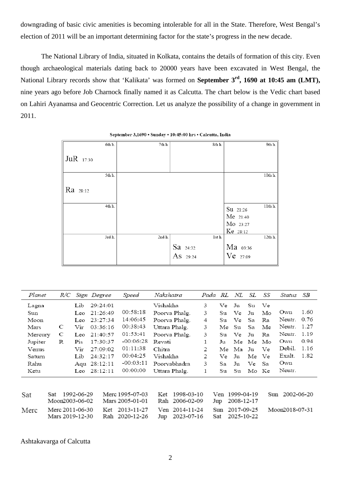downgrading of basic civic amenities is becoming intolerable for all in the State. Therefore, West Bengal's election of 2011 will be an important determining factor for the state's progress in the new decade.

The National Library of India, situated in Kolkata, contains the details of formation of this city. Even though archaeological materials dating back to 20000 years have been excavated in West Bengal, the National Library records show that 'Kalikata' was formed on **September 3rd, 1690 at 10:45 am (LMT),** nine years ago before Job Charnock finally named it as Calcutta. The chart below is the Vedic chart based on Lahiri Ayanamsa and Geocentric Correction. Let us analyze the possibility of a change in government in 2011.

| 6th h.    | 7th h. | 8th h.   | 9th h.                |
|-----------|--------|----------|-----------------------|
| JuR 17:30 |        |          |                       |
| 5th h.    |        |          | 10th h.               |
| Ra 28:12  |        |          |                       |
| 4th h.    |        |          | $11thh$ .<br>Su 21:26 |
|           |        |          | $Me$ 21:40            |
|           |        |          | Mo 23:27              |
| 3rd h.    | 2nd h. | 1st h.   | Ke 28:12<br>12th h.   |
|           |        | Sa 24:32 | Ma 03:36              |
|           |        | As 29:24 | Ve 27:09              |

September 3,1690 . Sunday . 10:45:00 hrs . Calcutta, India

| Planet  |     | R/C |                 | Sign Degree    | Speed           | Nakshatra         |   | Pada RL | NL         | SL    | SS  | Status         | SB   |
|---------|-----|-----|-----------------|----------------|-----------------|-------------------|---|---------|------------|-------|-----|----------------|------|
| Lagna   |     |     | Lib             | 29:24:01       |                 | Vishakha          | 3 | Ve.     | Ju         | Su    | Ve  |                |      |
| Sun     |     |     | Leo             | 21:26:49       | 00:58:18        | Poorva Phalg.     | 3 | Su      | Ve         | Ju    | Mo  | Own            | 1.60 |
| Moon    |     |     | Leo             | 23:27:34       | 14:06:45        | Poorva Phalg.     | 4 | Su      | Ve         | Sa    | Ra  | Neutr.         | 0.76 |
| Mars    |     | C   | Vir             | 03:36:16       | 00:38:43        | Uttara Phalg.     | 3 | Me      | Su         | Sa    | Me  | Neutr.         | 1.27 |
| Mercury |     | С   | Leo             | 21:40:57       | 01:53:41        | Poorva Phalg.     | 3 | Su      | Ve.        | Ju    | Ra  | Neutr.         | 1.19 |
| Jupiter |     | R   | Pis             | 17:30:37       | $-00:06:28$     | Revati            | 1 | Ju      | Me         | Me    | Mo  | Own            | 0.94 |
| Venus   |     |     | Vir             | 27:09:02       | 01:11:38        | Chitra            | 2 | Me      | Ma         | Ju    | Ve  | Debil.         | 1.16 |
| Saturn  |     |     | Lib             | 24:32:17       | 00:04:25        | Vishakha          | 2 | Ve      | Ju         | Me    | Ve  | Exalt.         | 1.82 |
| Rahu    |     |     |                 | Aqu 28:12:11   | $-00:03:11$     | Poorvabhadra      | 3 | Sa      | Ju         | Ve    | Sa  | Own            |      |
| Ketu    |     |     |                 | Leo $28:12:11$ | 00:00:00        | Uttara Phalg.     | 1 | Su      | Su         | Mo Ke |     | Neutr.         |      |
|         |     |     |                 |                |                 |                   |   |         |            |       |     |                |      |
| Sat     | Sat |     | 1992-06-29      |                | Merc 1995-07-03 | 1998-03-10<br>Ket |   | Ven     | 1999-04-19 |       | Sun | 2002-06-20     |      |
|         |     |     | Moon2003-06-02  |                | Mars 2005-01-01 | 2006-02-09<br>Rah |   | Jup     | 2008-12-17 |       |     |                |      |
| Merc    |     |     | Merc 2011-06-30 | Ket            | 2013-11-27      | Ven 2014-11-24    |   | Sun     | 2017-09-25 |       |     | Moon2018-07-31 |      |
|         |     |     | Mars 2019-12-30 |                | Rah 2020-12-26  | 2023-07-16<br>Jup |   | Sat     | 2025-10-22 |       |     |                |      |

Ashtakavarga of Calcutta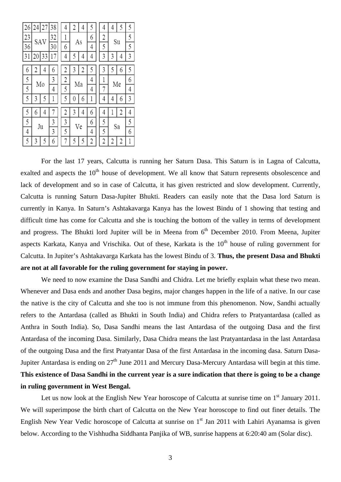| 26 |     | 24 27 | 38 | 4 | 2        | 4 | 5              | 4  | 4  | 5 | 5 |
|----|-----|-------|----|---|----------|---|----------------|----|----|---|---|
| 23 | SAV |       | 32 | 1 |          |   | 6              | 2  |    |   | 5 |
| 36 |     |       | 30 | 6 | As       |   | 4              | 5  | Su |   | 5 |
| 3  |     | 33    | 7  | 4 |          | 4 | 4              | 3  | 3  | 4 | 3 |
| 6  |     | 4     | 6  | 2 | 3        | 2 | 5              | 3  |    | 6 | 5 |
| 5  | Mo  |       | 3  | 2 |          |   |                | 1  |    |   | 6 |
| 5  |     |       | 4  | 5 | Мa       |   | 4              | 7  | Me |   | 4 |
| 5  | 3   | 5     | l  | 5 | $\theta$ | 6 | 1              | 4  | 4  | 6 | 3 |
| 5  | 6   | 4     | 7  | 2 | 3        | 4 | 6              | 4  | l  | 2 | 4 |
| 5  |     |       | 3  | 3 |          | 6 | 5              | Sa |    | 5 |   |
| 4  |     | Ju    | 3  | 5 | Ve       |   | 4              | 5  |    |   | 6 |
| 5  | 3   | 5     | 6  | 7 | 5        | 5 | $\overline{c}$ | 2  | 2  | 2 | 1 |

For the last 17 years, Calcutta is running her Saturn Dasa. This Saturn is in Lagna of Calcutta, exalted and aspects the  $10<sup>th</sup>$  house of development. We all know that Saturn represents obsolescence and lack of development and so in case of Calcutta, it has given restricted and slow development. Currently, Calcutta is running Saturn Dasa-Jupiter Bhukti. Readers can easily note that the Dasa lord Saturn is currently in Kanya. In Saturn's Ashtakavarga Kanya has the lowest Bindu of 1 showing that testing and difficult time has come for Calcutta and she is touching the bottom of the valley in terms of development and progress. The Bhukti lord Jupiter will be in Meena from  $6<sup>th</sup>$  December 2010. From Meena, Jupiter aspects Karkata, Kanya and Vrischika. Out of these, Karkata is the 10<sup>th</sup> house of ruling government for Calcutta. In Jupiter's Ashtakavarga Karkata has the lowest Bindu of 3. **Thus, the present Dasa and Bhukti are not at all favorable for the ruling government for staying in power.**

We need to now examine the Dasa Sandhi and Chidra. Let me briefly explain what these two mean. Whenever and Dasa ends and another Dasa begins, major changes happen in the life of a native. In our case the native is the city of Calcutta and she too is not immune from this phenomenon. Now, Sandhi actually refers to the Antardasa (called as Bhukti in South India) and Chidra refers to Pratyantardasa (called as Anthra in South India). So, Dasa Sandhi means the last Antardasa of the outgoing Dasa and the first Antardasa of the incoming Dasa. Similarly, Dasa Chidra means the last Pratyantardasa in the last Antardasa of the outgoing Dasa and the first Pratyantar Dasa of the first Antardasa in the incoming dasa. Saturn Dasa-Jupiter Antardasa is ending on  $27<sup>th</sup>$  June 2011 and Mercury Dasa-Mercury Antardasa will begin at this time. **This existence of Dasa Sandhi in the current year is a sure indication that there is going to be a change in ruling government in West Bengal.**

Let us now look at the English New Year horoscope of Calcutta at sunrise time on  $1<sup>st</sup>$  January 2011. We will superimpose the birth chart of Calcutta on the New Year horoscope to find out finer details. The English New Year Vedic horoscope of Calcutta at sunrise on  $1<sup>st</sup>$  Jan 2011 with Lahiri Ayanamsa is given below. According to the Vishhudha Siddhanta Panjika of WB, sunrise happens at 6:20:40 am (Solar disc).